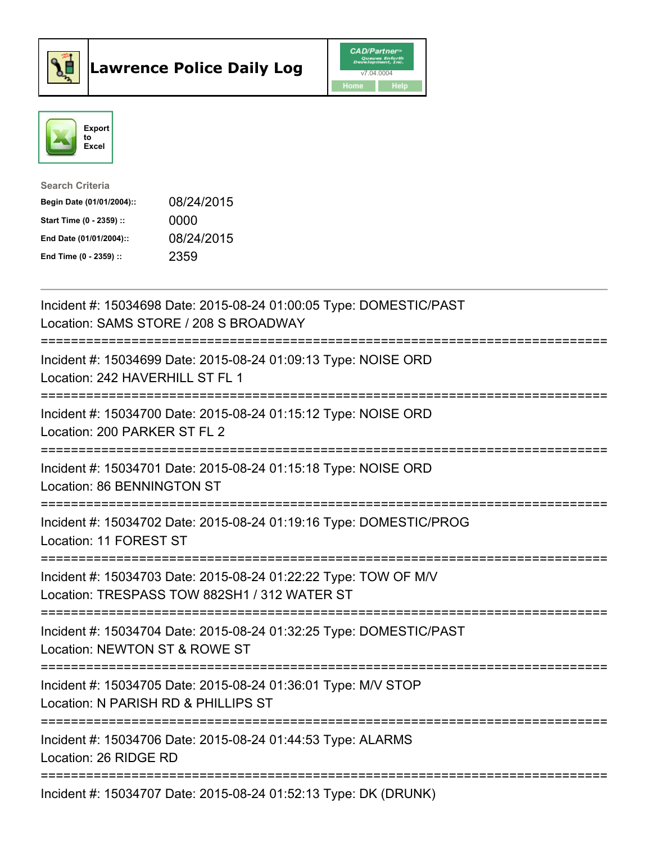



| <b>Search Criteria</b>    |            |
|---------------------------|------------|
| Begin Date (01/01/2004):: | 08/24/2015 |
| Start Time (0 - 2359) ::  | 0000       |
| End Date (01/01/2004)::   | 08/24/2015 |
| End Time $(0 - 2359)$ :   | 2359       |

| Incident #: 15034698 Date: 2015-08-24 01:00:05 Type: DOMESTIC/PAST<br>Location: SAMS STORE / 208 S BROADWAY     |
|-----------------------------------------------------------------------------------------------------------------|
| Incident #: 15034699 Date: 2015-08-24 01:09:13 Type: NOISE ORD<br>Location: 242 HAVERHILL ST FL 1               |
| Incident #: 15034700 Date: 2015-08-24 01:15:12 Type: NOISE ORD<br>Location: 200 PARKER ST FL 2                  |
| Incident #: 15034701 Date: 2015-08-24 01:15:18 Type: NOISE ORD<br>Location: 86 BENNINGTON ST                    |
| Incident #: 15034702 Date: 2015-08-24 01:19:16 Type: DOMESTIC/PROG<br>Location: 11 FOREST ST                    |
| Incident #: 15034703 Date: 2015-08-24 01:22:22 Type: TOW OF M/V<br>Location: TRESPASS TOW 882SH1 / 312 WATER ST |
| Incident #: 15034704 Date: 2015-08-24 01:32:25 Type: DOMESTIC/PAST<br>Location: NEWTON ST & ROWE ST             |
| Incident #: 15034705 Date: 2015-08-24 01:36:01 Type: M/V STOP<br>Location: N PARISH RD & PHILLIPS ST            |
| Incident #: 15034706 Date: 2015-08-24 01:44:53 Type: ALARMS<br>Location: 26 RIDGE RD                            |
| Incident #: 15034707 Date: 2015-08-24 01:52:13 Type: DK (DRUNK)                                                 |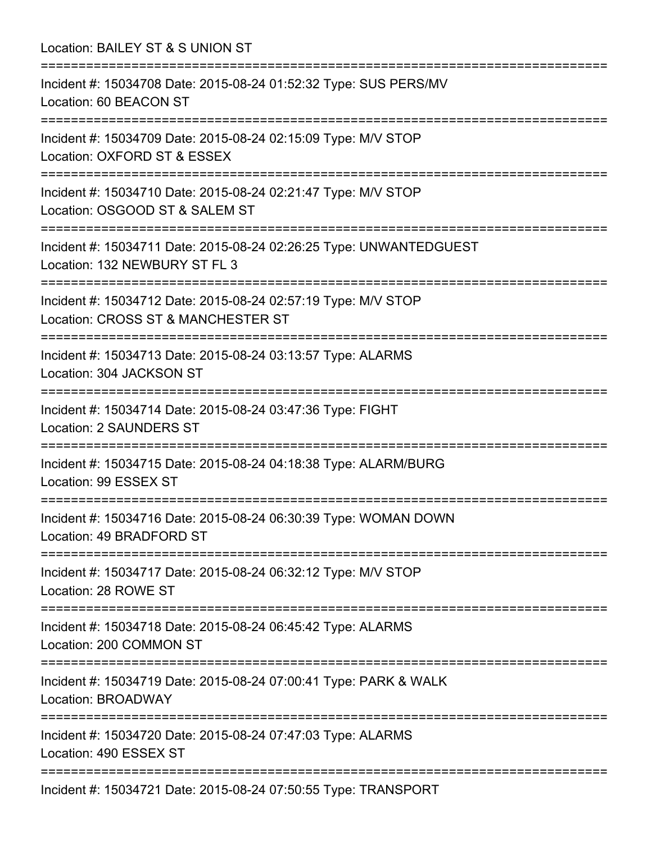Location: BAILEY ST & S UNION ST =========================================================================== Incident #: 15034708 Date: 2015-08-24 01:52:32 Type: SUS PERS/MV Location: 60 BEACON ST =========================================================================== Incident #: 15034709 Date: 2015-08-24 02:15:09 Type: M/V STOP Location: OXFORD ST & ESSEX =========================================================================== Incident #: 15034710 Date: 2015-08-24 02:21:47 Type: M/V STOP Location: OSGOOD ST & SALEM ST =========================================================================== Incident #: 15034711 Date: 2015-08-24 02:26:25 Type: UNWANTEDGUEST Location: 132 NEWBURY ST FL 3 =========================================================================== Incident #: 15034712 Date: 2015-08-24 02:57:19 Type: M/V STOP Location: CROSS ST & MANCHESTER ST =========================================================================== Incident #: 15034713 Date: 2015-08-24 03:13:57 Type: ALARMS Location: 304 JACKSON ST =========================================================================== Incident #: 15034714 Date: 2015-08-24 03:47:36 Type: FIGHT Location: 2 SAUNDERS ST =========================================================================== Incident #: 15034715 Date: 2015-08-24 04:18:38 Type: ALARM/BURG Location: 99 ESSEX ST =========================================================================== Incident #: 15034716 Date: 2015-08-24 06:30:39 Type: WOMAN DOWN Location: 49 BRADFORD ST =========================================================================== Incident #: 15034717 Date: 2015-08-24 06:32:12 Type: M/V STOP Location: 28 ROWE ST =========================================================================== Incident #: 15034718 Date: 2015-08-24 06:45:42 Type: ALARMS Location: 200 COMMON ST =========================================================================== Incident #: 15034719 Date: 2015-08-24 07:00:41 Type: PARK & WALK Location: BROADWAY =========================================================================== Incident #: 15034720 Date: 2015-08-24 07:47:03 Type: ALARMS Location: 490 ESSEX ST =========================================================================== Incident #: 15034721 Date: 2015-08-24 07:50:55 Type: TRANSPORT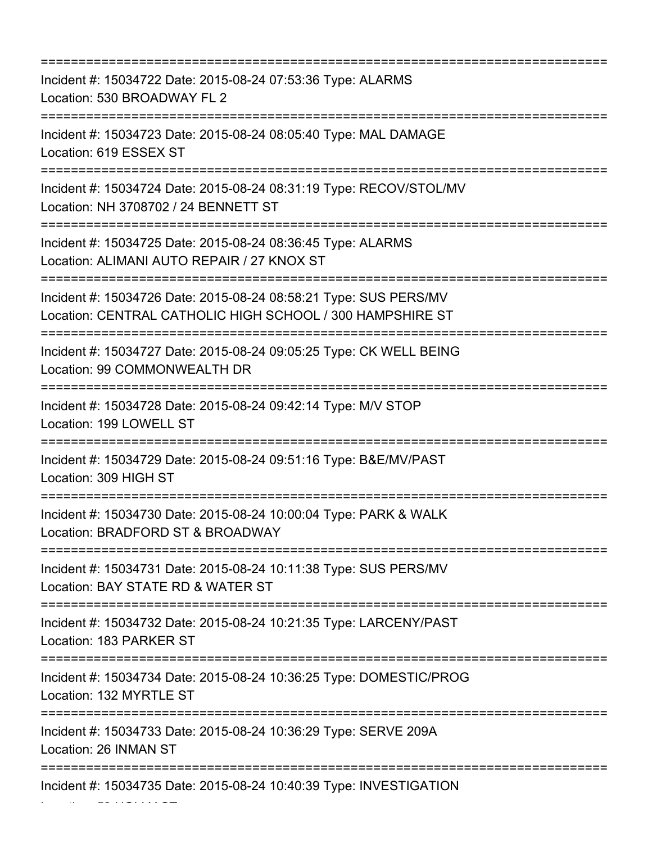=========================================================================== Incident #: 15034722 Date: 2015-08-24 07:53:36 Type: ALARMS Location: 530 BROADWAY FL 2 =========================================================================== Incident #: 15034723 Date: 2015-08-24 08:05:40 Type: MAL DAMAGE Location: 619 ESSEX ST =========================================================================== Incident #: 15034724 Date: 2015-08-24 08:31:19 Type: RECOV/STOL/MV Location: NH 3708702 / 24 BENNETT ST =========================================================================== Incident #: 15034725 Date: 2015-08-24 08:36:45 Type: ALARMS Location: ALIMANI AUTO REPAIR / 27 KNOX ST =========================================================================== Incident #: 15034726 Date: 2015-08-24 08:58:21 Type: SUS PERS/MV Location: CENTRAL CATHOLIC HIGH SCHOOL / 300 HAMPSHIRE ST =========================================================================== Incident #: 15034727 Date: 2015-08-24 09:05:25 Type: CK WELL BEING Location: 99 COMMONWEALTH DR =========================================================================== Incident #: 15034728 Date: 2015-08-24 09:42:14 Type: M/V STOP Location: 199 LOWELL ST =========================================================================== Incident #: 15034729 Date: 2015-08-24 09:51:16 Type: B&E/MV/PAST Location: 309 HIGH ST =========================================================================== Incident #: 15034730 Date: 2015-08-24 10:00:04 Type: PARK & WALK Location: BRADFORD ST & BROADWAY =========================================================================== Incident #: 15034731 Date: 2015-08-24 10:11:38 Type: SUS PERS/MV Location: BAY STATE RD & WATER ST =========================================================================== Incident #: 15034732 Date: 2015-08-24 10:21:35 Type: LARCENY/PAST Location: 183 PARKER ST =========================================================================== Incident #: 15034734 Date: 2015-08-24 10:36:25 Type: DOMESTIC/PROG Location: 132 MYRTLE ST =========================================================================== Incident #: 15034733 Date: 2015-08-24 10:36:29 Type: SERVE 209A Location: 26 INMAN ST =========================================================================== Incident #: 15034735 Date: 2015-08-24 10:40:39 Type: INVESTIGATION

Location: 59 HOLLY ST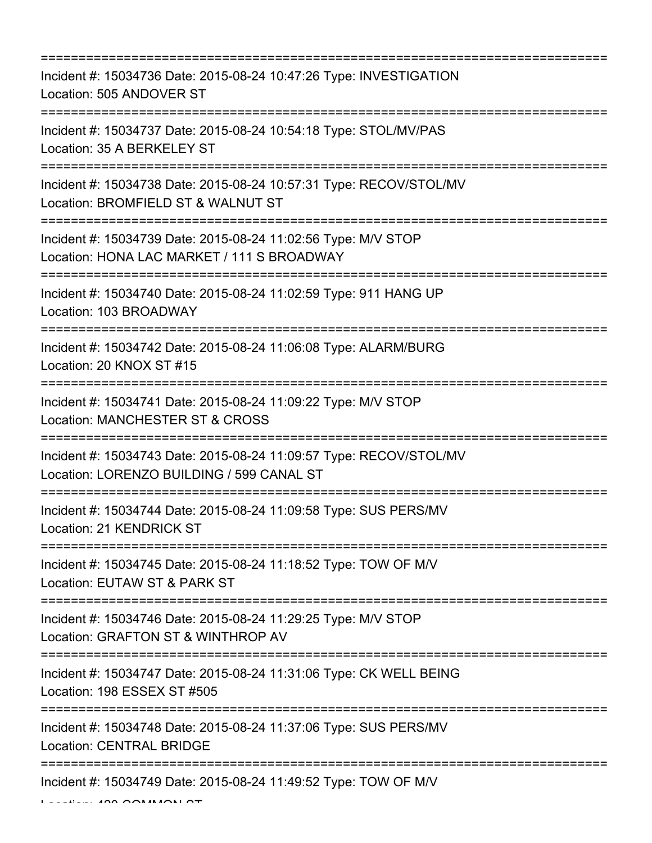=========================================================================== Incident #: 15034736 Date: 2015-08-24 10:47:26 Type: INVESTIGATION Location: 505 ANDOVER ST =========================================================================== Incident #: 15034737 Date: 2015-08-24 10:54:18 Type: STOL/MV/PAS Location: 35 A BERKELEY ST =========================================================================== Incident #: 15034738 Date: 2015-08-24 10:57:31 Type: RECOV/STOL/MV Location: BROMFIELD ST & WALNUT ST =========================================================================== Incident #: 15034739 Date: 2015-08-24 11:02:56 Type: M/V STOP Location: HONA LAC MARKET / 111 S BROADWAY =========================================================================== Incident #: 15034740 Date: 2015-08-24 11:02:59 Type: 911 HANG UP Location: 103 BROADWAY =========================================================================== Incident #: 15034742 Date: 2015-08-24 11:06:08 Type: ALARM/BURG Location: 20 KNOX ST #15 =========================================================================== Incident #: 15034741 Date: 2015-08-24 11:09:22 Type: M/V STOP Location: MANCHESTER ST & CROSS =========================================================================== Incident #: 15034743 Date: 2015-08-24 11:09:57 Type: RECOV/STOL/MV Location: LORENZO BUILDING / 599 CANAL ST =========================================================================== Incident #: 15034744 Date: 2015-08-24 11:09:58 Type: SUS PERS/MV Location: 21 KENDRICK ST =========================================================================== Incident #: 15034745 Date: 2015-08-24 11:18:52 Type: TOW OF M/V Location: EUTAW ST & PARK ST =========================================================================== Incident #: 15034746 Date: 2015-08-24 11:29:25 Type: M/V STOP Location: GRAFTON ST & WINTHROP AV =========================================================================== Incident #: 15034747 Date: 2015-08-24 11:31:06 Type: CK WELL BEING Location: 198 ESSEX ST #505 =========================================================================== Incident #: 15034748 Date: 2015-08-24 11:37:06 Type: SUS PERS/MV Location: CENTRAL BRIDGE =========================================================================== Incident #: 15034749 Date: 2015-08-24 11:49:52 Type: TOW OF M/V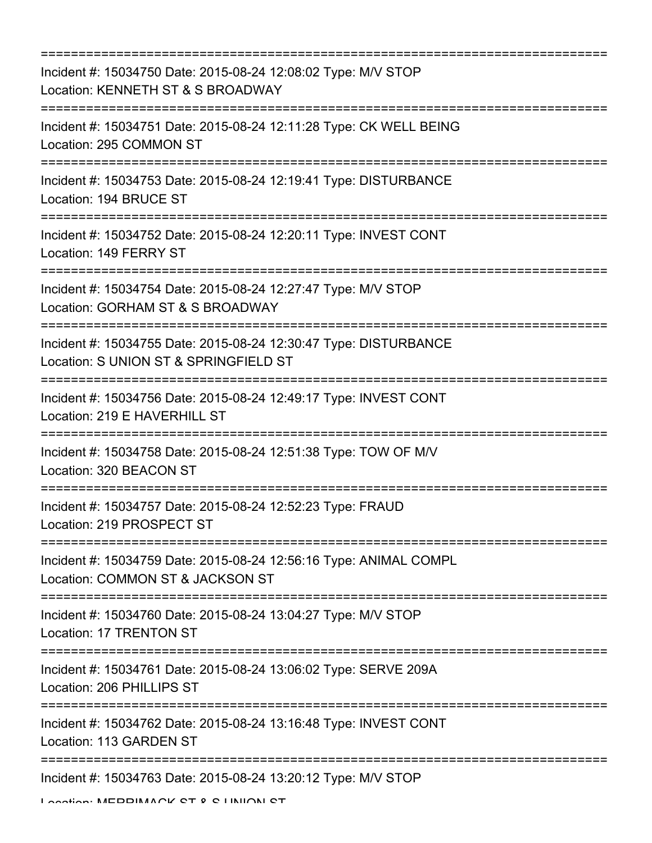| ================================                                                                                                      |
|---------------------------------------------------------------------------------------------------------------------------------------|
| Incident #: 15034750 Date: 2015-08-24 12:08:02 Type: M/V STOP<br>Location: KENNETH ST & S BROADWAY                                    |
| Incident #: 15034751 Date: 2015-08-24 12:11:28 Type: CK WELL BEING<br>Location: 295 COMMON ST                                         |
| Incident #: 15034753 Date: 2015-08-24 12:19:41 Type: DISTURBANCE<br>Location: 194 BRUCE ST                                            |
| Incident #: 15034752 Date: 2015-08-24 12:20:11 Type: INVEST CONT<br>Location: 149 FERRY ST                                            |
| Incident #: 15034754 Date: 2015-08-24 12:27:47 Type: M/V STOP<br>Location: GORHAM ST & S BROADWAY<br>========================         |
| Incident #: 15034755 Date: 2015-08-24 12:30:47 Type: DISTURBANCE<br>Location: S UNION ST & SPRINGFIELD ST<br>:======================= |
| Incident #: 15034756 Date: 2015-08-24 12:49:17 Type: INVEST CONT<br>Location: 219 E HAVERHILL ST                                      |
| Incident #: 15034758 Date: 2015-08-24 12:51:38 Type: TOW OF M/V<br>Location: 320 BEACON ST                                            |
| Incident #: 15034757 Date: 2015-08-24 12:52:23 Type: FRAUD<br>Location: 219 PROSPECT ST                                               |
| Incident #: 15034759 Date: 2015-08-24 12:56:16 Type: ANIMAL COMPL<br>Location: COMMON ST & JACKSON ST                                 |
| Incident #: 15034760 Date: 2015-08-24 13:04:27 Type: M/V STOP<br>Location: 17 TRENTON ST                                              |
| Incident #: 15034761 Date: 2015-08-24 13:06:02 Type: SERVE 209A<br>Location: 206 PHILLIPS ST                                          |
| Incident #: 15034762 Date: 2015-08-24 13:16:48 Type: INVEST CONT<br>Location: 113 GARDEN ST                                           |
| Incident #: 15034763 Date: 2015-08-24 13:20:12 Type: M/V STOP                                                                         |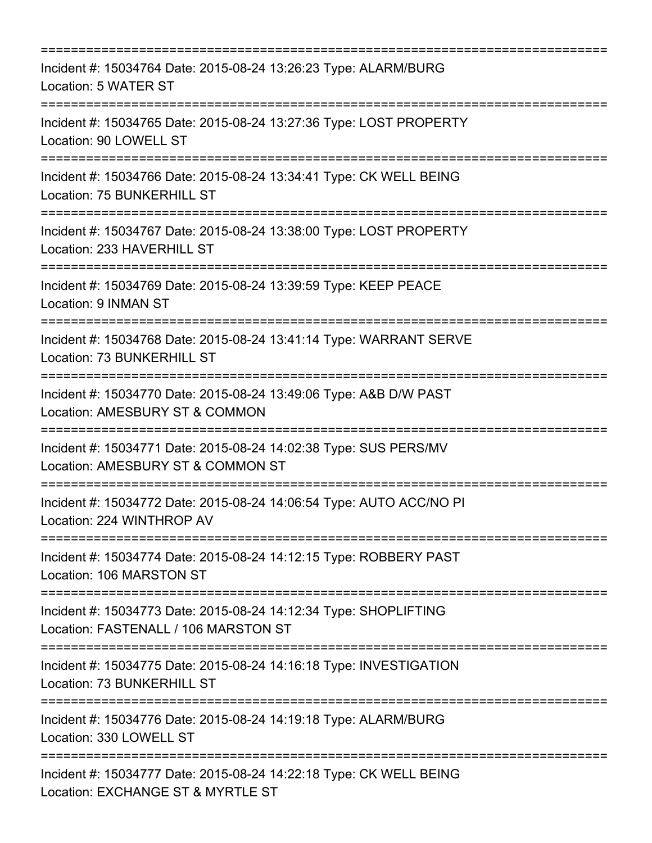| ;=========================<br>================================                                                                                                         |
|------------------------------------------------------------------------------------------------------------------------------------------------------------------------|
| Incident #: 15034764 Date: 2015-08-24 13:26:23 Type: ALARM/BURG<br>Location: 5 WATER ST                                                                                |
| Incident #: 15034765 Date: 2015-08-24 13:27:36 Type: LOST PROPERTY<br>Location: 90 LOWELL ST                                                                           |
| Incident #: 15034766 Date: 2015-08-24 13:34:41 Type: CK WELL BEING<br>Location: 75 BUNKERHILL ST<br>---------------------------------                                  |
| Incident #: 15034767 Date: 2015-08-24 13:38:00 Type: LOST PROPERTY<br>Location: 233 HAVERHILL ST                                                                       |
| Incident #: 15034769 Date: 2015-08-24 13:39:59 Type: KEEP PEACE<br>Location: 9 INMAN ST                                                                                |
| Incident #: 15034768 Date: 2015-08-24 13:41:14 Type: WARRANT SERVE<br>Location: 73 BUNKERHILL ST                                                                       |
| Incident #: 15034770 Date: 2015-08-24 13:49:06 Type: A&B D/W PAST<br>Location: AMESBURY ST & COMMON                                                                    |
| Incident #: 15034771 Date: 2015-08-24 14:02:38 Type: SUS PERS/MV<br>Location: AMESBURY ST & COMMON ST                                                                  |
| Incident #: 15034772 Date: 2015-08-24 14:06:54 Type: AUTO ACC/NO PI<br>Location: 224 WINTHROP AV<br>======================================<br>======================   |
| Incident #: 15034774 Date: 2015-08-24 14:12:15 Type: ROBBERY PAST<br>Location: 106 MARSTON ST                                                                          |
| Incident #: 15034773 Date: 2015-08-24 14:12:34 Type: SHOPLIFTING<br>Location: FASTENALL / 106 MARSTON ST                                                               |
| :============================<br>Incident #: 15034775 Date: 2015-08-24 14:16:18 Type: INVESTIGATION<br>Location: 73 BUNKERHILL ST                                      |
| Incident #: 15034776 Date: 2015-08-24 14:19:18 Type: ALARM/BURG<br>Location: 330 LOWELL ST                                                                             |
| ================================<br>=======================<br>Incident #: 15034777 Date: 2015-08-24 14:22:18 Type: CK WELL BEING<br>Location: EXCHANGE ST & MYRTLE ST |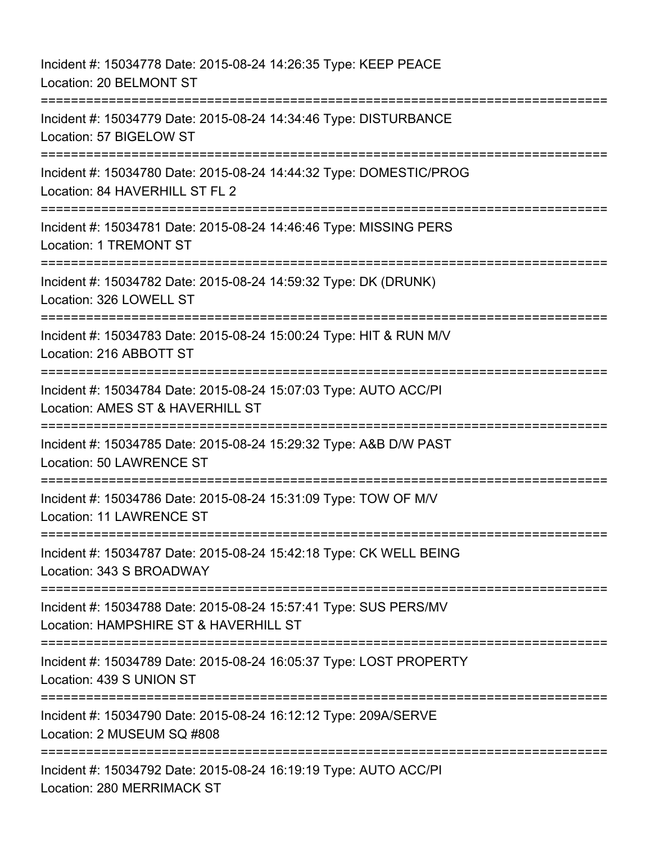Incident #: 15034778 Date: 2015-08-24 14:26:35 Type: KEEP PEACE Location: 20 BELMONT ST =========================================================================== Incident #: 15034779 Date: 2015-08-24 14:34:46 Type: DISTURBANCE Location: 57 BIGELOW ST =========================================================================== Incident #: 15034780 Date: 2015-08-24 14:44:32 Type: DOMESTIC/PROG Location: 84 HAVERHILL ST FL 2 =========================================================================== Incident #: 15034781 Date: 2015-08-24 14:46:46 Type: MISSING PERS Location: 1 TREMONT ST =========================================================================== Incident #: 15034782 Date: 2015-08-24 14:59:32 Type: DK (DRUNK) Location: 326 LOWELL ST =========================================================================== Incident #: 15034783 Date: 2015-08-24 15:00:24 Type: HIT & RUN M/V Location: 216 ABBOTT ST =========================================================================== Incident #: 15034784 Date: 2015-08-24 15:07:03 Type: AUTO ACC/PI Location: AMES ST & HAVERHILL ST =========================================================================== Incident #: 15034785 Date: 2015-08-24 15:29:32 Type: A&B D/W PAST Location: 50 LAWRENCE ST =========================================================================== Incident #: 15034786 Date: 2015-08-24 15:31:09 Type: TOW OF M/V Location: 11 LAWRENCE ST =========================================================================== Incident #: 15034787 Date: 2015-08-24 15:42:18 Type: CK WELL BEING Location: 343 S BROADWAY =========================================================================== Incident #: 15034788 Date: 2015-08-24 15:57:41 Type: SUS PERS/MV Location: HAMPSHIRE ST & HAVERHILL ST =========================================================================== Incident #: 15034789 Date: 2015-08-24 16:05:37 Type: LOST PROPERTY Location: 439 S UNION ST =========================================================================== Incident #: 15034790 Date: 2015-08-24 16:12:12 Type: 209A/SERVE Location: 2 MUSEUM SQ #808 ===================================== Incident #: 15034792 Date: 2015-08-24 16:19:19 Type: AUTO ACC/PI Location: 280 MERRIMACK ST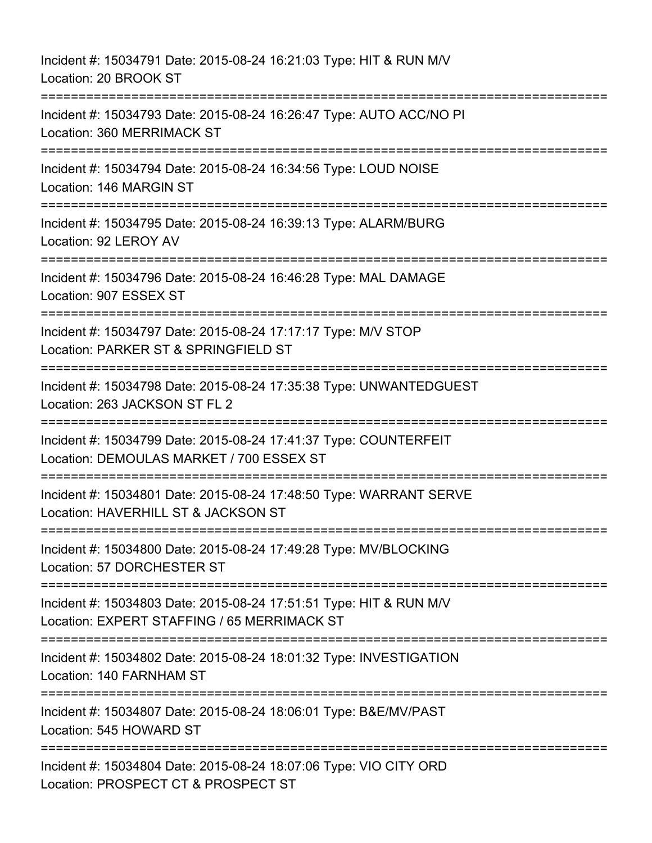Incident #: 15034791 Date: 2015-08-24 16:21:03 Type: HIT & RUN M/V Location: 20 BROOK ST =========================================================================== Incident #: 15034793 Date: 2015-08-24 16:26:47 Type: AUTO ACC/NO PI Location: 360 MERRIMACK ST =========================================================================== Incident #: 15034794 Date: 2015-08-24 16:34:56 Type: LOUD NOISE Location: 146 MARGIN ST =========================================================================== Incident #: 15034795 Date: 2015-08-24 16:39:13 Type: ALARM/BURG Location: 92 LEROY AV =========================================================================== Incident #: 15034796 Date: 2015-08-24 16:46:28 Type: MAL DAMAGE Location: 907 ESSEX ST =========================================================================== Incident #: 15034797 Date: 2015-08-24 17:17:17 Type: M/V STOP Location: PARKER ST & SPRINGFIELD ST =========================================================================== Incident #: 15034798 Date: 2015-08-24 17:35:38 Type: UNWANTEDGUEST Location: 263 JACKSON ST FL 2 =========================================================================== Incident #: 15034799 Date: 2015-08-24 17:41:37 Type: COUNTERFEIT Location: DEMOULAS MARKET / 700 ESSEX ST =========================================================================== Incident #: 15034801 Date: 2015-08-24 17:48:50 Type: WARRANT SERVE Location: HAVERHILL ST & JACKSON ST =========================================================================== Incident #: 15034800 Date: 2015-08-24 17:49:28 Type: MV/BLOCKING Location: 57 DORCHESTER ST =========================================================================== Incident #: 15034803 Date: 2015-08-24 17:51:51 Type: HIT & RUN M/V Location: EXPERT STAFFING / 65 MERRIMACK ST =========================================================================== Incident #: 15034802 Date: 2015-08-24 18:01:32 Type: INVESTIGATION Location: 140 FARNHAM ST =========================================================================== Incident #: 15034807 Date: 2015-08-24 18:06:01 Type: B&E/MV/PAST Location: 545 HOWARD ST =========================================================================== Incident #: 15034804 Date: 2015-08-24 18:07:06 Type: VIO CITY ORD Location: PROSPECT CT & PROSPECT ST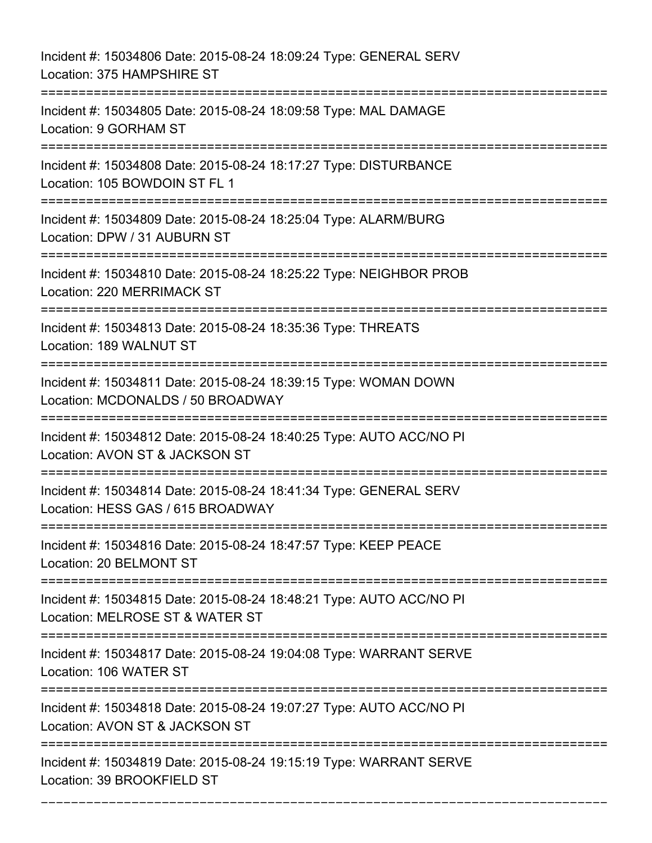Incident #: 15034806 Date: 2015-08-24 18:09:24 Type: GENERAL SERV Location: 375 HAMPSHIRE ST =========================================================================== Incident #: 15034805 Date: 2015-08-24 18:09:58 Type: MAL DAMAGE Location: 9 GORHAM ST =========================================================================== Incident #: 15034808 Date: 2015-08-24 18:17:27 Type: DISTURBANCE Location: 105 BOWDOIN ST FL 1 =========================================================================== Incident #: 15034809 Date: 2015-08-24 18:25:04 Type: ALARM/BURG Location: DPW / 31 AUBURN ST =========================================================================== Incident #: 15034810 Date: 2015-08-24 18:25:22 Type: NEIGHBOR PROB Location: 220 MERRIMACK ST =========================================================================== Incident #: 15034813 Date: 2015-08-24 18:35:36 Type: THREATS Location: 189 WALNUT ST =========================================================================== Incident #: 15034811 Date: 2015-08-24 18:39:15 Type: WOMAN DOWN Location: MCDONALDS / 50 BROADWAY =========================================================================== Incident #: 15034812 Date: 2015-08-24 18:40:25 Type: AUTO ACC/NO PI Location: AVON ST & JACKSON ST =========================================================================== Incident #: 15034814 Date: 2015-08-24 18:41:34 Type: GENERAL SERV Location: HESS GAS / 615 BROADWAY =========================================================================== Incident #: 15034816 Date: 2015-08-24 18:47:57 Type: KEEP PEACE Location: 20 BELMONT ST =========================================================================== Incident #: 15034815 Date: 2015-08-24 18:48:21 Type: AUTO ACC/NO PI Location: MELROSE ST & WATER ST =========================================================================== Incident #: 15034817 Date: 2015-08-24 19:04:08 Type: WARRANT SERVE Location: 106 WATER ST =========================================================================== Incident #: 15034818 Date: 2015-08-24 19:07:27 Type: AUTO ACC/NO PI Location: AVON ST & JACKSON ST =========================================================================== Incident #: 15034819 Date: 2015-08-24 19:15:19 Type: WARRANT SERVE Location: 39 BROOKFIELD ST

===========================================================================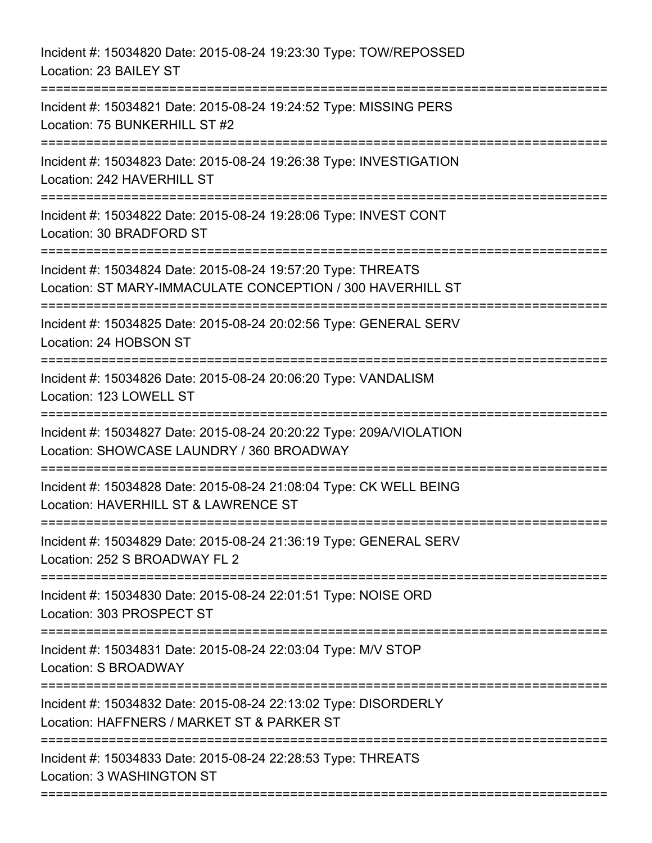| Incident #: 15034820 Date: 2015-08-24 19:23:30 Type: TOW/REPOSSED<br>Location: 23 BAILEY ST                                          |
|--------------------------------------------------------------------------------------------------------------------------------------|
| Incident #: 15034821 Date: 2015-08-24 19:24:52 Type: MISSING PERS<br>Location: 75 BUNKERHILL ST #2<br>;=======================       |
| Incident #: 15034823 Date: 2015-08-24 19:26:38 Type: INVESTIGATION<br>Location: 242 HAVERHILL ST<br>=======================          |
| Incident #: 15034822 Date: 2015-08-24 19:28:06 Type: INVEST CONT<br>Location: 30 BRADFORD ST                                         |
| Incident #: 15034824 Date: 2015-08-24 19:57:20 Type: THREATS<br>Location: ST MARY-IMMACULATE CONCEPTION / 300 HAVERHILL ST           |
| Incident #: 15034825 Date: 2015-08-24 20:02:56 Type: GENERAL SERV<br>Location: 24 HOBSON ST                                          |
| Incident #: 15034826 Date: 2015-08-24 20:06:20 Type: VANDALISM<br>Location: 123 LOWELL ST                                            |
| Incident #: 15034827 Date: 2015-08-24 20:20:22 Type: 209A/VIOLATION<br>Location: SHOWCASE LAUNDRY / 360 BROADWAY                     |
| Incident #: 15034828 Date: 2015-08-24 21:08:04 Type: CK WELL BEING<br>Location: HAVERHILL ST & LAWRENCE ST                           |
| Incident #: 15034829 Date: 2015-08-24 21:36:19 Type: GENERAL SERV<br>Location: 252 S BROADWAY FL 2                                   |
| Incident #: 15034830 Date: 2015-08-24 22:01:51 Type: NOISE ORD<br>Location: 303 PROSPECT ST                                          |
| Incident #: 15034831 Date: 2015-08-24 22:03:04 Type: M/V STOP<br>Location: S BROADWAY                                                |
| Incident #: 15034832 Date: 2015-08-24 22:13:02 Type: DISORDERLY<br>Location: HAFFNERS / MARKET ST & PARKER ST<br>=================== |
| Incident #: 15034833 Date: 2015-08-24 22:28:53 Type: THREATS<br>Location: 3 WASHINGTON ST                                            |

===========================================================================